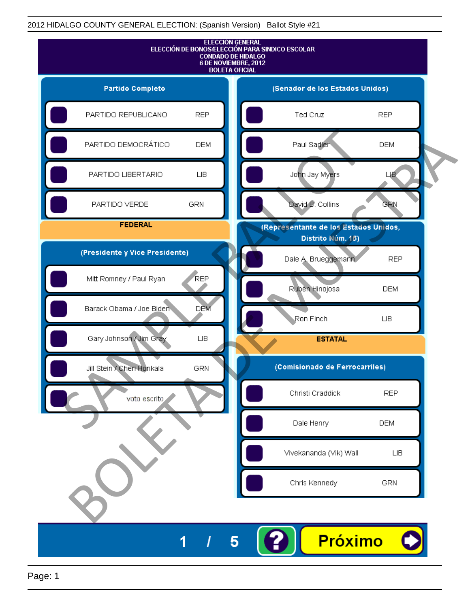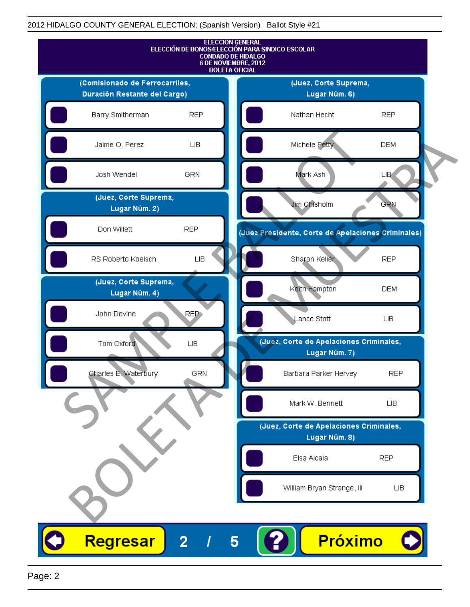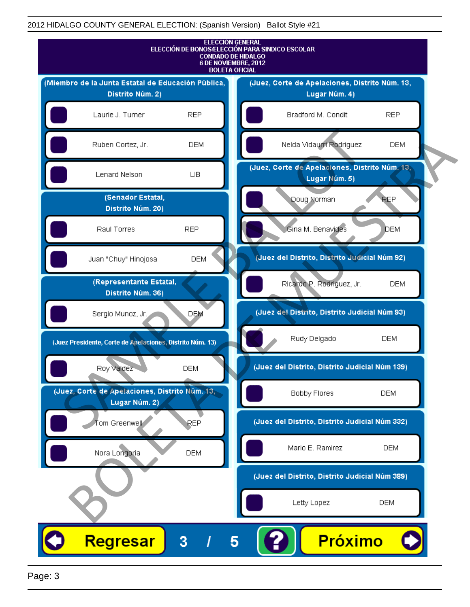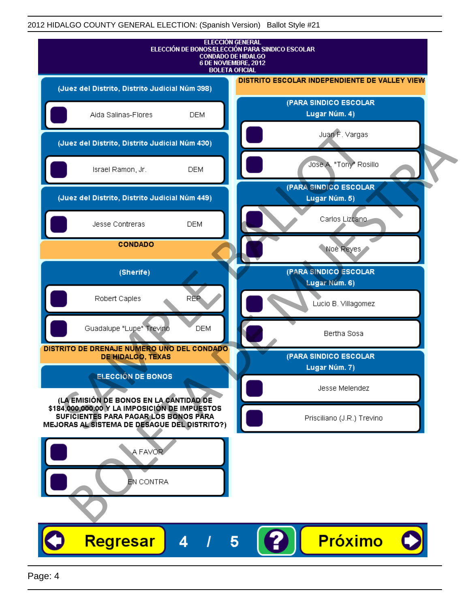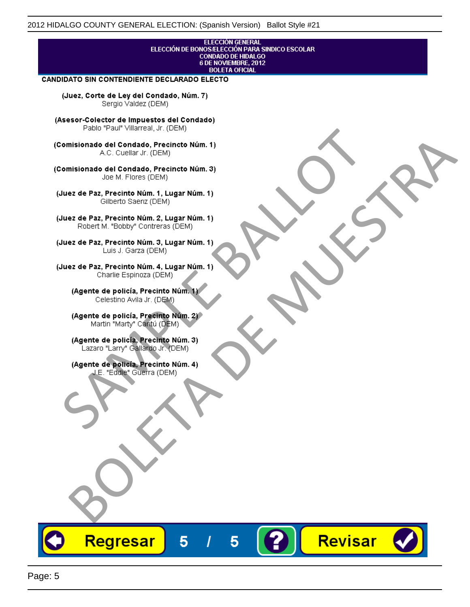## **ELECCIÓN GENERAL** ELECCIÓN DE BONOS/ELECCIÓN PARA SINDICO ESCOLAR<br>CONDADO DE HIDALGO<br>6 DE NOVIEMBRE, 2012 **BOLETA OFICIAL**

Revisar

#### **CANDIDATO SIN CONTENDIENTE DECLARADO ELECTO**

(Juez, Corte de Ley del Condado, Núm. 7) Sergio Valdez (DEM)

(Asesor-Colector de Impuestos del Condado)

Fallo Fall Willdrea, J.I. (DEM)<br>
Consistionado el Condado, Precincto Núm. 1)<br>
A.C. Cuellar Jr. (DEM)<br>
Ullez de Paz, Precinto Núm. 1)<br>
Juez de Paz, Precinto Núm. 1, Lugar Núm. 1)<br>
Gilberto Sentr (DEM)<br>
Robert M. "Bobby" Con misionado del Condiado, Precincto Núm. 1)<br>
Andro del Condiado, Precincto Núm. 3)<br>
ez de Paz, Precinto Núm. 21<br>
algo M. Picer Lo Saerz, Cichi (DEM)<br>
algo M. Picer Lo Saerz, Cichi (DEM)<br>
algo M. Picer Lo Saerz, Cichi (DEM)<br>

Regresar

5

5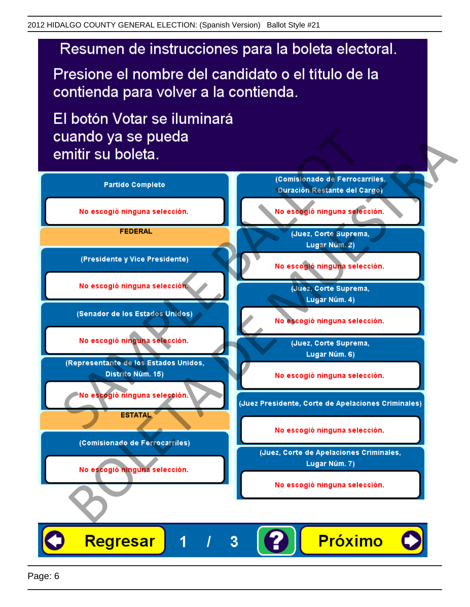# Resumen de instrucciones para la boleta electoral.

Presione el nombre del candidato o el título de la contienda para volver a la contienda.

El botón Votar se iluminará

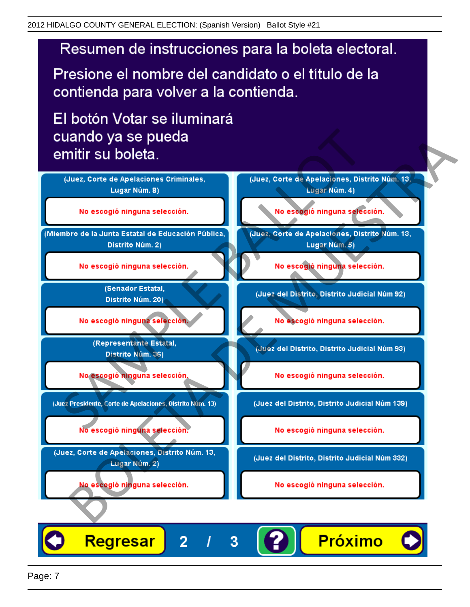# Resumen de instrucciones para la boleta electoral.

Presione el nombre del candidato o el título de la contienda para volver a la contienda.

El botón Votar se iluminará